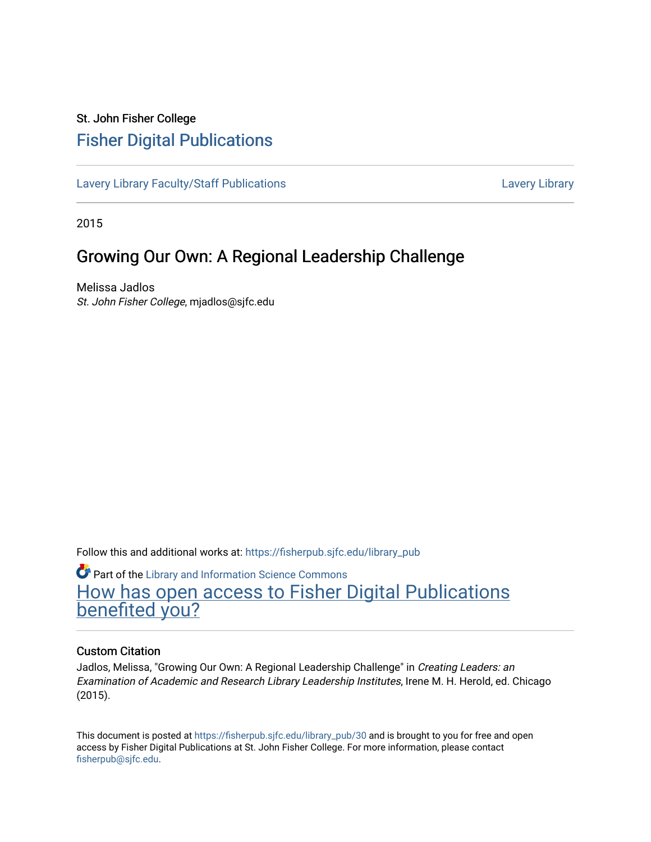# St. John Fisher College [Fisher Digital Publications](https://fisherpub.sjfc.edu/)

[Lavery Library Faculty/Staff Publications](https://fisherpub.sjfc.edu/library_pub) [Lavery Library](https://fisherpub.sjfc.edu/library) Lavery Library

2015

# Growing Our Own: A Regional Leadership Challenge

Melissa Jadlos St. John Fisher College, mjadlos@sjfc.edu

Follow this and additional works at: [https://fisherpub.sjfc.edu/library\\_pub](https://fisherpub.sjfc.edu/library_pub?utm_source=fisherpub.sjfc.edu%2Flibrary_pub%2F30&utm_medium=PDF&utm_campaign=PDFCoverPages)

**Part of the Library and Information Science Commons** [How has open access to Fisher Digital Publications](https://docs.google.com/forms/d/14zrnDfH9d1wcdq8oG_-gFabAsxfcH5claltx85ZWyTg/viewform?entry.1394608989=https://fisherpub.sjfc.edu/library_pub/30%3Chttps://docs.google.com/forms/d/14zrnDfH9d1wcdq8oG_-gFabAsxfcH5claltx85ZWyTg/viewform?entry.1394608989=%7bhttps://fisherpub.sjfc.edu/library_pub/30%7d) [benefited you?](https://docs.google.com/forms/d/14zrnDfH9d1wcdq8oG_-gFabAsxfcH5claltx85ZWyTg/viewform?entry.1394608989=https://fisherpub.sjfc.edu/library_pub/30%3Chttps://docs.google.com/forms/d/14zrnDfH9d1wcdq8oG_-gFabAsxfcH5claltx85ZWyTg/viewform?entry.1394608989=%7bhttps://fisherpub.sjfc.edu/library_pub/30%7d)

#### Custom Citation

Jadlos, Melissa, "Growing Our Own: A Regional Leadership Challenge" in Creating Leaders: an Examination of Academic and Research Library Leadership Institutes, Irene M. H. Herold, ed. Chicago (2015).

This document is posted at [https://fisherpub.sjfc.edu/library\\_pub/30](https://fisherpub.sjfc.edu/library_pub/30) and is brought to you for free and open access by Fisher Digital Publications at St. John Fisher College. For more information, please contact [fisherpub@sjfc.edu](mailto:fisherpub@sjfc.edu).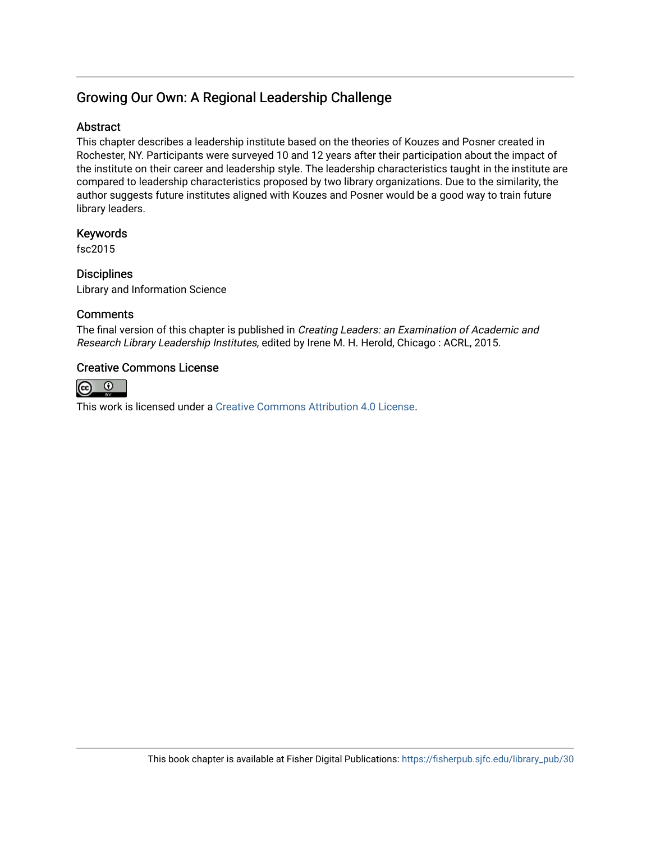## Growing Our Own: A Regional Leadership Challenge

## **Abstract**

This chapter describes a leadership institute based on the theories of Kouzes and Posner created in Rochester, NY. Participants were surveyed 10 and 12 years after their participation about the impact of the institute on their career and leadership style. The leadership characteristics taught in the institute are compared to leadership characteristics proposed by two library organizations. Due to the similarity, the author suggests future institutes aligned with Kouzes and Posner would be a good way to train future library leaders.

## Keywords

fsc2015

**Disciplines** Library and Information Science

## **Comments**

The final version of this chapter is published in Creating Leaders: an Examination of Academic and Research Library Leadership Institutes, edited by Irene M. H. Herold, Chicago : ACRL, 2015.

## Creative Commons License



This work is licensed under a [Creative Commons Attribution 4.0 License](https://creativecommons.org/licenses/by/4.0/).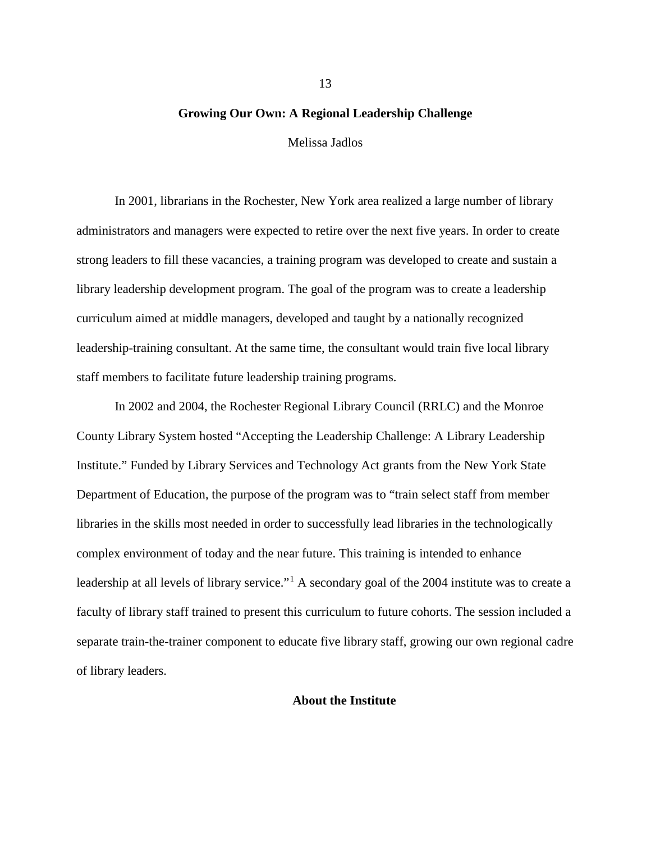#### **Growing Our Own: A Regional Leadership Challenge**

Melissa Jadlos

In 2001, librarians in the Rochester, New York area realized a large number of library administrators and managers were expected to retire over the next five years. In order to create strong leaders to fill these vacancies, a training program was developed to create and sustain a library leadership development program. The goal of the program was to create a leadership curriculum aimed at middle managers, developed and taught by a nationally recognized leadership-training consultant. At the same time, the consultant would train five local library staff members to facilitate future leadership training programs.

In 2002 and 2004, the Rochester Regional Library Council (RRLC) and the Monroe County Library System hosted "Accepting the Leadership Challenge: A Library Leadership Institute." Funded by Library Services and Technology Act grants from the New York State Department of Education, the purpose of the program was to "train select staff from member libraries in the skills most needed in order to successfully lead libraries in the technologically complex environment of today and the near future. This training is intended to enhance leadership at all levels of library service."<sup>[1](#page-16-0)</sup> A secondary goal of the 2004 institute was to create a faculty of library staff trained to present this curriculum to future cohorts. The session included a separate train-the-trainer component to educate five library staff, growing our own regional cadre of library leaders.

#### **About the Institute**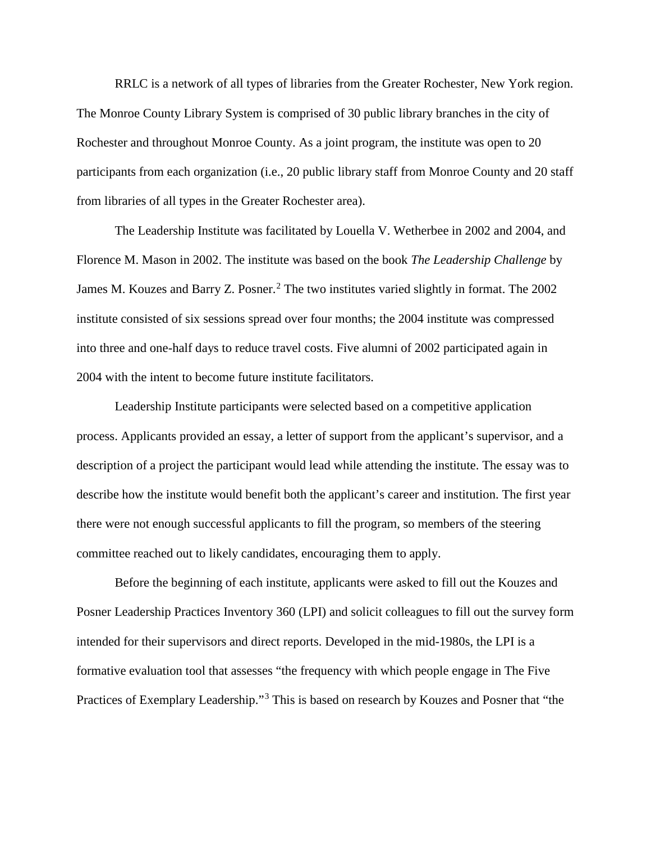RRLC is a network of all types of libraries from the Greater Rochester, New York region. The Monroe County Library System is comprised of 30 public library branches in the city of Rochester and throughout Monroe County. As a joint program, the institute was open to 20 participants from each organization (i.e., 20 public library staff from Monroe County and 20 staff from libraries of all types in the Greater Rochester area).

The Leadership Institute was facilitated by Louella V. Wetherbee in 2002 and 2004, and Florence M. Mason in 2002. The institute was based on the book *The Leadership Challenge* by James M. Kouzes and Barry Z. Posner.<sup>[2](#page-17-0)</sup> The two institutes varied slightly in format. The 2002 institute consisted of six sessions spread over four months; the 2004 institute was compressed into three and one-half days to reduce travel costs. Five alumni of 2002 participated again in 2004 with the intent to become future institute facilitators.

Leadership Institute participants were selected based on a competitive application process. Applicants provided an essay, a letter of support from the applicant's supervisor, and a description of a project the participant would lead while attending the institute. The essay was to describe how the institute would benefit both the applicant's career and institution. The first year there were not enough successful applicants to fill the program, so members of the steering committee reached out to likely candidates, encouraging them to apply.

Before the beginning of each institute, applicants were asked to fill out the Kouzes and Posner Leadership Practices Inventory 360 (LPI) and solicit colleagues to fill out the survey form intended for their supervisors and direct reports. Developed in the mid-1980s, the LPI is a formative evaluation tool that assesses "the frequency with which people engage in The Five Practices of Exemplary Leadership."[3](#page-17-1) This is based on research by Kouzes and Posner that "the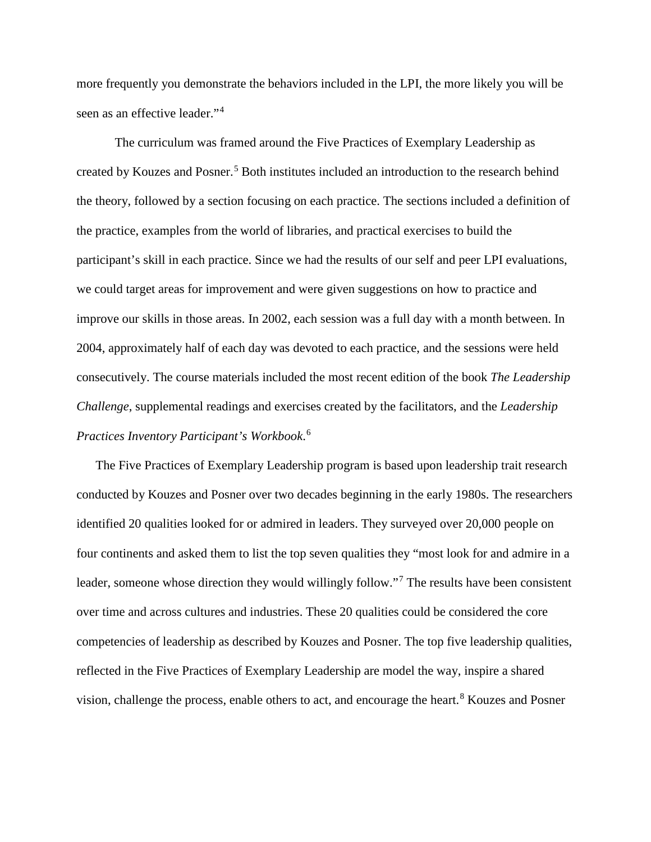more frequently you demonstrate the behaviors included in the LPI, the more likely you will be seen as an effective leader."[4](#page-18-0)

The curriculum was framed around the Five Practices of Exemplary Leadership as created by Kouzes and Posner.<sup>[5](#page-18-1)</sup> Both institutes included an introduction to the research behind the theory, followed by a section focusing on each practice. The sections included a definition of the practice, examples from the world of libraries, and practical exercises to build the participant's skill in each practice. Since we had the results of our self and peer LPI evaluations, we could target areas for improvement and were given suggestions on how to practice and improve our skills in those areas. In 2002, each session was a full day with a month between. In 2004, approximately half of each day was devoted to each practice, and the sessions were held consecutively. The course materials included the most recent edition of the book *The Leadership Challenge*, supplemental readings and exercises created by the facilitators, and the *Leadership Practices Inventory Participant's Workbook*. [6](#page-18-2)

The Five Practices of Exemplary Leadership program is based upon leadership trait research conducted by Kouzes and Posner over two decades beginning in the early 1980s. The researchers identified 20 qualities looked for or admired in leaders. They surveyed over 20,000 people on four continents and asked them to list the top seven qualities they "most look for and admire in a leader, someone whose direction they would willingly follow."<sup>[7](#page-18-3)</sup> The results have been consistent over time and across cultures and industries. These 20 qualities could be considered the core competencies of leadership as described by Kouzes and Posner. The top five leadership qualities, reflected in the Five Practices of Exemplary Leadership are model the way, inspire a shared vision, challenge the process, enable others to act, and encourage the heart.<sup>[8](#page-18-4)</sup> Kouzes and Posner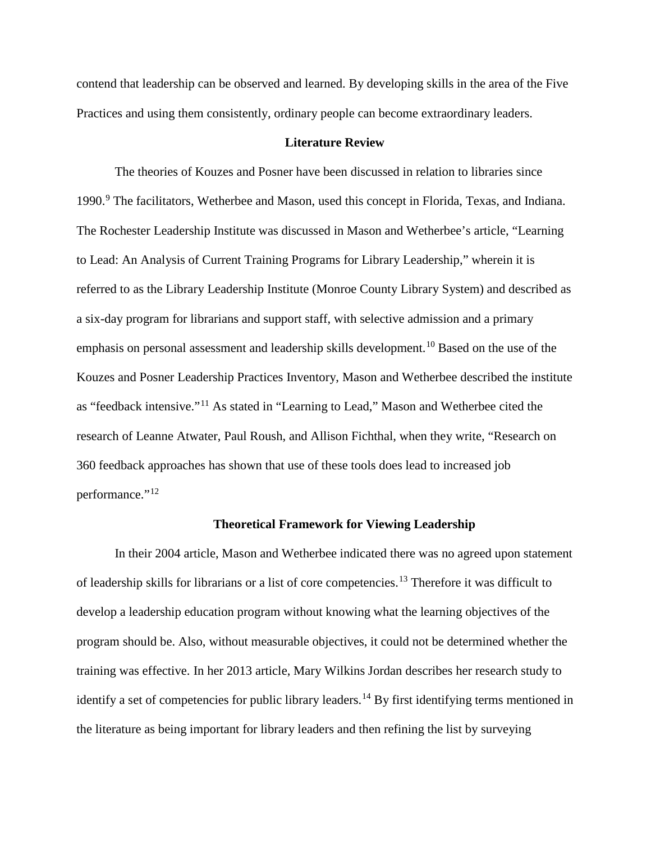contend that leadership can be observed and learned. By developing skills in the area of the Five Practices and using them consistently, ordinary people can become extraordinary leaders.

#### **Literature Review**

The theories of Kouzes and Posner have been discussed in relation to libraries since 1990. [9](#page-19-0) The facilitators, Wetherbee and Mason, used this concept in Florida, Texas, and Indiana. The Rochester Leadership Institute was discussed in Mason and Wetherbee's article, "Learning to Lead: An Analysis of Current Training Programs for Library Leadership," wherein it is referred to as the Library Leadership Institute (Monroe County Library System) and described as a six-day program for librarians and support staff, with selective admission and a primary emphasis on personal assessment and leadership skills development.<sup>[10](#page-19-1)</sup> Based on the use of the Kouzes and Posner Leadership Practices Inventory, Mason and Wetherbee described the institute as "feedback intensive."[11](#page-19-2) As stated in "Learning to Lead," Mason and Wetherbee cited the research of Leanne Atwater, Paul Roush, and Allison Fichthal, when they write, "Research on 360 feedback approaches has shown that use of these tools does lead to increased job performance."<sup>[12](#page-19-3)</sup>

#### **Theoretical Framework for Viewing Leadership**

In their 2004 article, Mason and Wetherbee indicated there was no agreed upon statement of leadership skills for librarians or a list of core competencies.[13](#page-19-4) Therefore it was difficult to develop a leadership education program without knowing what the learning objectives of the program should be. Also, without measurable objectives, it could not be determined whether the training was effective. In her 2013 article, Mary Wilkins Jordan describes her research study to identify a set of competencies for public library leaders.<sup>[14](#page-19-5)</sup> By first identifying terms mentioned in the literature as being important for library leaders and then refining the list by surveying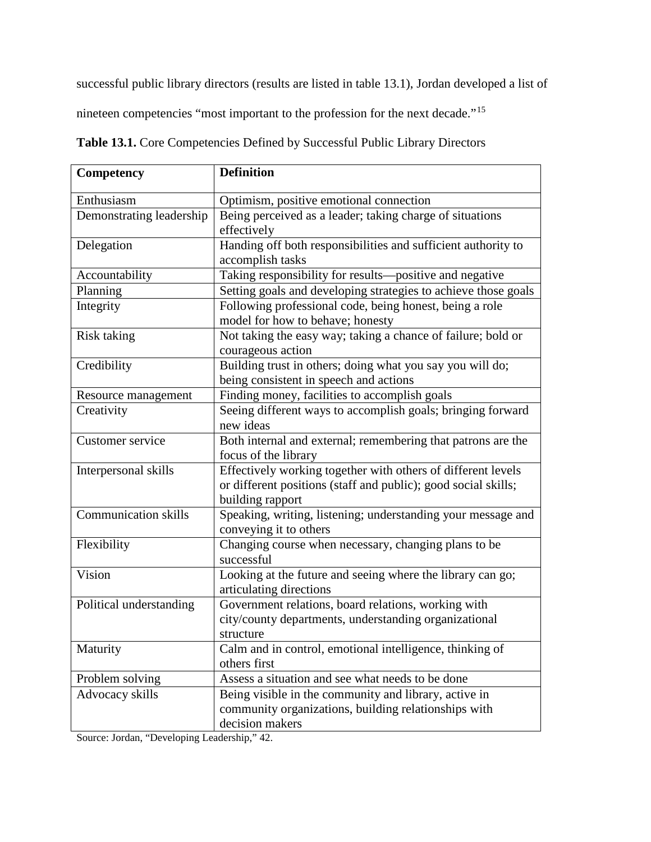successful public library directors (results are listed in table 13.1), Jordan developed a list of

nineteen competencies "most important to the profession for the next decade."[15](#page-19-6)

| Table 13.1. Core Competencies Defined by Successful Public Library Directors |  |
|------------------------------------------------------------------------------|--|
|------------------------------------------------------------------------------|--|

| Competency                  | <b>Definition</b>                                                                                                                                  |
|-----------------------------|----------------------------------------------------------------------------------------------------------------------------------------------------|
| Enthusiasm                  | Optimism, positive emotional connection                                                                                                            |
| Demonstrating leadership    | Being perceived as a leader; taking charge of situations<br>effectively                                                                            |
| Delegation                  | Handing off both responsibilities and sufficient authority to<br>accomplish tasks                                                                  |
| Accountability              | Taking responsibility for results-positive and negative                                                                                            |
| Planning                    | Setting goals and developing strategies to achieve those goals                                                                                     |
| Integrity                   | Following professional code, being honest, being a role<br>model for how to behave; honesty                                                        |
| <b>Risk taking</b>          | Not taking the easy way; taking a chance of failure; bold or<br>courageous action                                                                  |
| Credibility                 | Building trust in others; doing what you say you will do;<br>being consistent in speech and actions                                                |
| Resource management         | Finding money, facilities to accomplish goals                                                                                                      |
| Creativity                  | Seeing different ways to accomplish goals; bringing forward<br>new ideas                                                                           |
| Customer service            | Both internal and external; remembering that patrons are the<br>focus of the library                                                               |
| Interpersonal skills        | Effectively working together with others of different levels<br>or different positions (staff and public); good social skills;<br>building rapport |
| <b>Communication skills</b> | Speaking, writing, listening; understanding your message and<br>conveying it to others                                                             |
| Flexibility                 | Changing course when necessary, changing plans to be<br>successful                                                                                 |
| Vision                      | Looking at the future and seeing where the library can go;<br>articulating directions                                                              |
| Political understanding     | Government relations, board relations, working with<br>city/county departments, understanding organizational<br>structure                          |
| Maturity                    | Calm and in control, emotional intelligence, thinking of<br>others first                                                                           |
| Problem solving             | Assess a situation and see what needs to be done                                                                                                   |
| Advocacy skills             | Being visible in the community and library, active in<br>community organizations, building relationships with<br>decision makers                   |

Source: Jordan, "Developing Leadership," 42.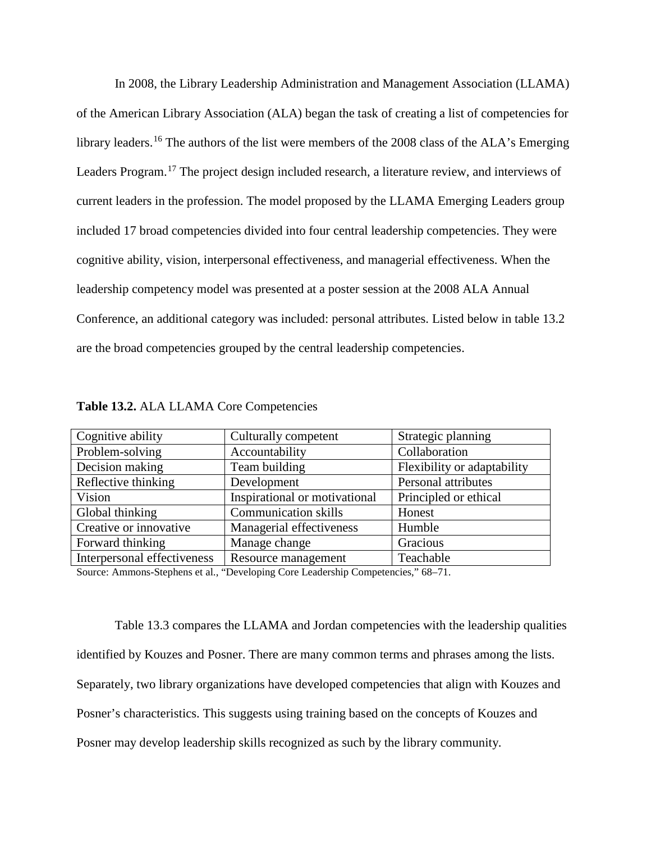In 2008, the Library Leadership Administration and Management Association (LLAMA) of the American Library Association (ALA) began the task of creating a list of competencies for library leaders.<sup>[16](#page-19-7)</sup> The authors of the list were members of the 2008 class of the ALA's Emerging Leaders Program.<sup>[17](#page-19-8)</sup> The project design included research, a literature review, and interviews of current leaders in the profession. The model proposed by the LLAMA Emerging Leaders group included 17 broad competencies divided into four central leadership competencies. They were cognitive ability, vision, interpersonal effectiveness, and managerial effectiveness. When the leadership competency model was presented at a poster session at the 2008 ALA Annual Conference, an additional category was included: personal attributes. Listed below in table 13.2 are the broad competencies grouped by the central leadership competencies.

| Cognitive ability           | Culturally competent          | Strategic planning          |
|-----------------------------|-------------------------------|-----------------------------|
| Problem-solving             | Accountability                | Collaboration               |
| Decision making             | Team building                 | Flexibility or adaptability |
| Reflective thinking         | Development                   | Personal attributes         |
| Vision                      | Inspirational or motivational | Principled or ethical       |
| Global thinking             | <b>Communication skills</b>   | Honest                      |
| Creative or innovative      | Managerial effectiveness      | Humble                      |
| Forward thinking            | Manage change                 | Gracious                    |
| Interpersonal effectiveness | Resource management           | Teachable                   |

**Table 13.2.** ALA LLAMA Core Competencies

Source: Ammons-Stephens et al., "Developing Core Leadership Competencies," 68–71.

Table 13.3 compares the LLAMA and Jordan competencies with the leadership qualities identified by Kouzes and Posner. There are many common terms and phrases among the lists. Separately, two library organizations have developed competencies that align with Kouzes and Posner's characteristics. This suggests using training based on the concepts of Kouzes and Posner may develop leadership skills recognized as such by the library community.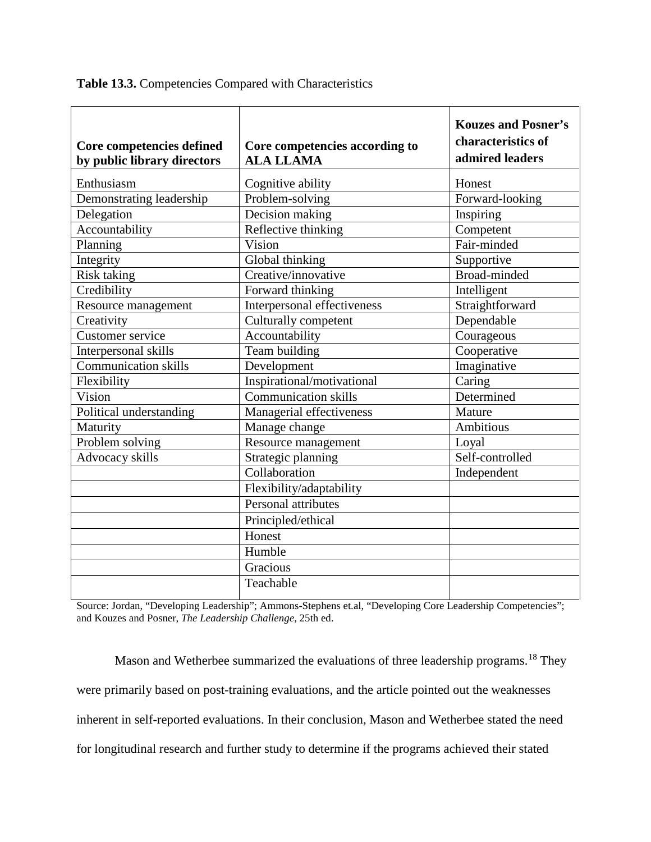|  |  | Table 13.3. Competencies Compared with Characteristics |  |
|--|--|--------------------------------------------------------|--|
|--|--|--------------------------------------------------------|--|

| Core competencies defined<br>by public library directors | Core competencies according to<br><b>ALA LLAMA</b> | <b>Kouzes and Posner's</b><br>characteristics of<br>admired leaders |
|----------------------------------------------------------|----------------------------------------------------|---------------------------------------------------------------------|
| Enthusiasm                                               | Cognitive ability                                  | Honest                                                              |
| Demonstrating leadership                                 | Problem-solving                                    | Forward-looking                                                     |
| Delegation                                               | Decision making                                    | Inspiring                                                           |
| Accountability                                           | Reflective thinking                                | Competent                                                           |
| Planning                                                 | Vision                                             | Fair-minded                                                         |
| Integrity                                                | Global thinking                                    | Supportive                                                          |
| <b>Risk taking</b>                                       | Creative/innovative                                | Broad-minded                                                        |
| Credibility                                              | Forward thinking                                   | Intelligent                                                         |
| Resource management                                      | Interpersonal effectiveness                        | Straightforward                                                     |
| Creativity                                               | Culturally competent                               | Dependable                                                          |
| Customer service                                         | Accountability                                     | Courageous                                                          |
| Interpersonal skills                                     | Team building                                      | Cooperative                                                         |
| <b>Communication skills</b>                              | Development                                        | Imaginative                                                         |
| Flexibility                                              | Inspirational/motivational                         | Caring                                                              |
| Vision                                                   | <b>Communication skills</b>                        | Determined                                                          |
| Political understanding                                  | Managerial effectiveness                           | Mature                                                              |
| Maturity                                                 | Manage change                                      | <b>Ambitious</b>                                                    |
| Problem solving                                          | Resource management                                | Loyal                                                               |
| Advocacy skills                                          | Strategic planning                                 | Self-controlled                                                     |
|                                                          | Collaboration                                      | Independent                                                         |
|                                                          | Flexibility/adaptability                           |                                                                     |
|                                                          | Personal attributes                                |                                                                     |
|                                                          | Principled/ethical                                 |                                                                     |
|                                                          | Honest                                             |                                                                     |
|                                                          | Humble                                             |                                                                     |
|                                                          | Gracious                                           |                                                                     |
|                                                          | Teachable                                          |                                                                     |
|                                                          |                                                    |                                                                     |

Source: Jordan, "Developing Leadership"; Ammons-Stephens et.al, "Developing Core Leadership Competencies"; and Kouzes and Posner, *The Leadership Challenge*, 25th ed.

Mason and Wetherbee summarized the evaluations of three leadership programs.<sup>[18](#page-19-9)</sup> They were primarily based on post-training evaluations, and the article pointed out the weaknesses inherent in self-reported evaluations. In their conclusion, Mason and Wetherbee stated the need for longitudinal research and further study to determine if the programs achieved their stated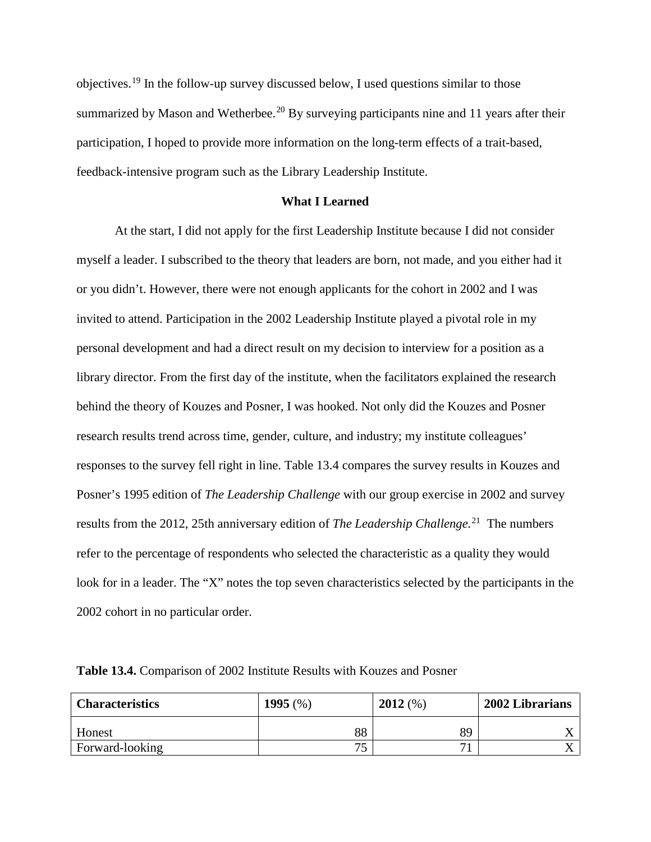objectives.[19](#page-19-10) In the follow-up survey discussed below, I used questions similar to those summarized by Mason and Wetherbee.<sup>[20](#page-19-11)</sup> By surveying participants nine and 11 years after their participation, I hoped to provide more information on the long-term effects of a trait-based, feedback-intensive program such as the Library Leadership Institute.

## **What I Learned**

At the start, I did not apply for the first Leadership Institute because I did not consider myself a leader. I subscribed to the theory that leaders are born, not made, and you either had it or you didn't. However, there were not enough applicants for the cohort in 2002 and I was invited to attend. Participation in the 2002 Leadership Institute played a pivotal role in my personal development and had a direct result on my decision to interview for a position as a library director. From the first day of the institute, when the facilitators explained the research behind the theory of Kouzes and Posner, I was hooked. Not only did the Kouzes and Posner research results trend across time, gender, culture, and industry; my institute colleagues' responses to the survey fell right in line. Table 13.4 compares the survey results in Kouzes and Posner's 1995 edition of *The Leadership Challenge* with our group exercise in 2002 and survey results from the 2012, 25th anniversary edition of *The Leadership Challenge.*[21](#page-19-12) The numbers refer to the percentage of respondents who selected the characteristic as a quality they would look for in a leader. The "X" notes the top seven characteristics selected by the participants in the 2002 cohort in no particular order.

| <b>Characteristics</b> | 1995 $(\%)$ | 2012(%) | 2002 Librarians |
|------------------------|-------------|---------|-----------------|
| <b>Honest</b>          | 88          | 89      |                 |
| Forward-looking        | 75          | −       |                 |

**Table 13.4.** Comparison of 2002 Institute Results with Kouzes and Posner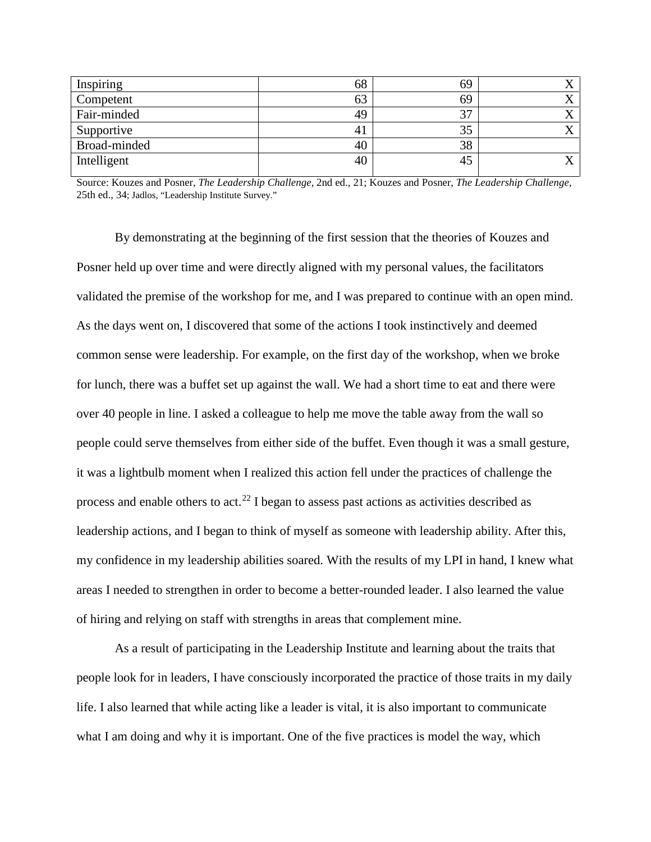| 68             | 69 |  |
|----------------|----|--|
| 63             | 69 |  |
| 49             | 37 |  |
| 4 <sub>1</sub> | 35 |  |
| 40             | 38 |  |
| 40             | 45 |  |
|                |    |  |

Source: Kouzes and Posner, *The Leadership Challenge*, 2nd ed., 21; Kouzes and Posner, *The Leadership Challenge,*  25th ed., 34; Jadlos, "Leadership Institute Survey."

By demonstrating at the beginning of the first session that the theories of Kouzes and Posner held up over time and were directly aligned with my personal values, the facilitators validated the premise of the workshop for me, and I was prepared to continue with an open mind. As the days went on, I discovered that some of the actions I took instinctively and deemed common sense were leadership. For example, on the first day of the workshop, when we broke for lunch, there was a buffet set up against the wall. We had a short time to eat and there were over 40 people in line. I asked a colleague to help me move the table away from the wall so people could serve themselves from either side of the buffet. Even though it was a small gesture, it was a lightbulb moment when I realized this action fell under the practices of challenge the process and enable others to act.<sup>[22](#page-19-13)</sup> I began to assess past actions as activities described as leadership actions, and I began to think of myself as someone with leadership ability. After this, my confidence in my leadership abilities soared. With the results of my LPI in hand, I knew what areas I needed to strengthen in order to become a better-rounded leader. I also learned the value of hiring and relying on staff with strengths in areas that complement mine.

As a result of participating in the Leadership Institute and learning about the traits that people look for in leaders, I have consciously incorporated the practice of those traits in my daily life. I also learned that while acting like a leader is vital, it is also important to communicate what I am doing and why it is important. One of the five practices is model the way, which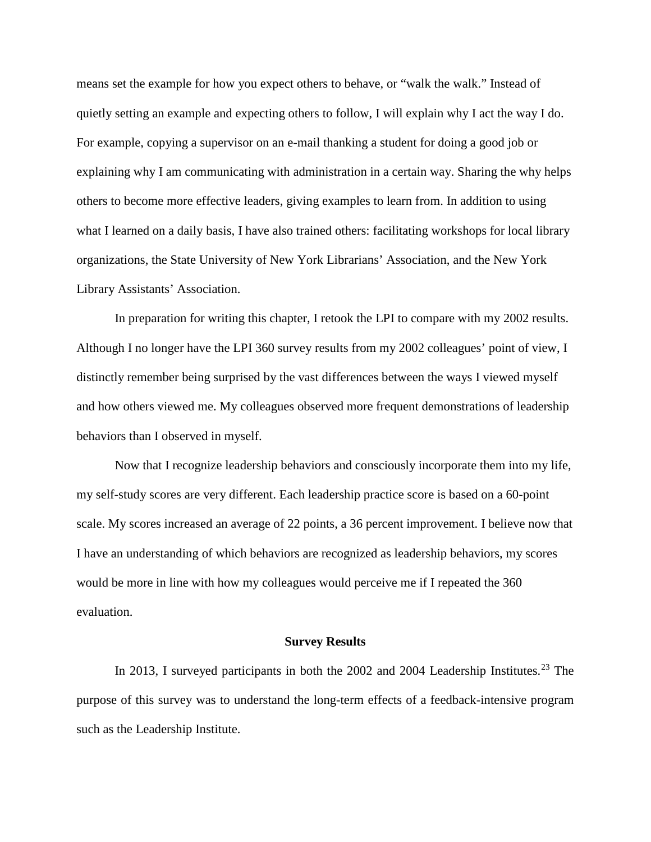means set the example for how you expect others to behave, or "walk the walk." Instead of quietly setting an example and expecting others to follow, I will explain why I act the way I do. For example, copying a supervisor on an e-mail thanking a student for doing a good job or explaining why I am communicating with administration in a certain way. Sharing the why helps others to become more effective leaders, giving examples to learn from. In addition to using what I learned on a daily basis, I have also trained others: facilitating workshops for local library organizations, the State University of New York Librarians' Association, and the New York Library Assistants' Association.

In preparation for writing this chapter, I retook the LPI to compare with my 2002 results. Although I no longer have the LPI 360 survey results from my 2002 colleagues' point of view, I distinctly remember being surprised by the vast differences between the ways I viewed myself and how others viewed me. My colleagues observed more frequent demonstrations of leadership behaviors than I observed in myself.

Now that I recognize leadership behaviors and consciously incorporate them into my life, my self-study scores are very different. Each leadership practice score is based on a 60-point scale. My scores increased an average of 22 points, a 36 percent improvement. I believe now that I have an understanding of which behaviors are recognized as leadership behaviors, my scores would be more in line with how my colleagues would perceive me if I repeated the 360 evaluation.

#### **Survey Results**

In 2013, I surveyed participants in both the 2002 and 2004 Leadership Institutes.<sup>[23](#page-19-14)</sup> The purpose of this survey was to understand the long-term effects of a feedback-intensive program such as the Leadership Institute.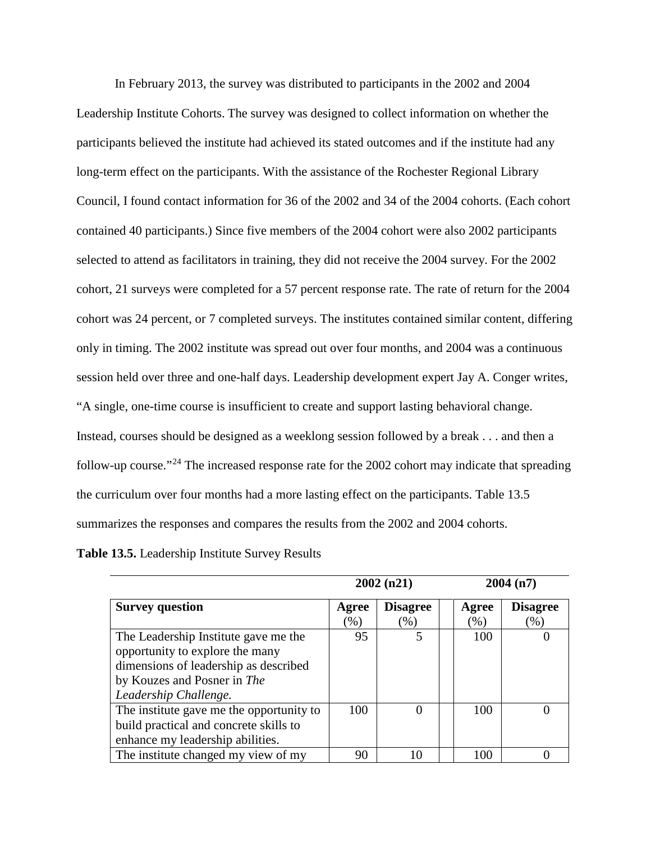In February 2013, the survey was distributed to participants in the 2002 and 2004 Leadership Institute Cohorts. The survey was designed to collect information on whether the participants believed the institute had achieved its stated outcomes and if the institute had any long-term effect on the participants. With the assistance of the Rochester Regional Library Council, I found contact information for 36 of the 2002 and 34 of the 2004 cohorts. (Each cohort contained 40 participants.) Since five members of the 2004 cohort were also 2002 participants selected to attend as facilitators in training, they did not receive the 2004 survey. For the 2002 cohort, 21 surveys were completed for a 57 percent response rate. The rate of return for the 2004 cohort was 24 percent, or 7 completed surveys. The institutes contained similar content, differing only in timing. The 2002 institute was spread out over four months, and 2004 was a continuous session held over three and one-half days. Leadership development expert Jay A. Conger writes, "A single, one-time course is insufficient to create and support lasting behavioral change. Instead, courses should be designed as a weeklong session followed by a break . . . and then a follow-up course."<sup>[24](#page-19-15)</sup> The increased response rate for the 2002 cohort may indicate that spreading the curriculum over four months had a more lasting effect on the participants. Table 13.5 summarizes the responses and compares the results from the 2002 and 2004 cohorts.

**Table 13.5.** Leadership Institute Survey Results

|                                          | 2002(n21)       |                  |         | 2004(n7)        |  |
|------------------------------------------|-----------------|------------------|---------|-----------------|--|
| <b>Survey question</b>                   | Agree           | <b>Disagree</b>  | Agree   | <b>Disagree</b> |  |
|                                          | $\mathcal{O}_0$ | (% )             | $(\% )$ | $(\%)$          |  |
| The Leadership Institute gave me the     | 95              |                  | 100     |                 |  |
| opportunity to explore the many          |                 |                  |         |                 |  |
| dimensions of leadership as described    |                 |                  |         |                 |  |
| by Kouzes and Posner in The              |                 |                  |         |                 |  |
| Leadership Challenge.                    |                 |                  |         |                 |  |
| The institute gave me the opportunity to | 100             | $\left( \right)$ | 100     |                 |  |
| build practical and concrete skills to   |                 |                  |         |                 |  |
| enhance my leadership abilities.         |                 |                  |         |                 |  |
| The institute changed my view of my      | 90              | 10               | 100     |                 |  |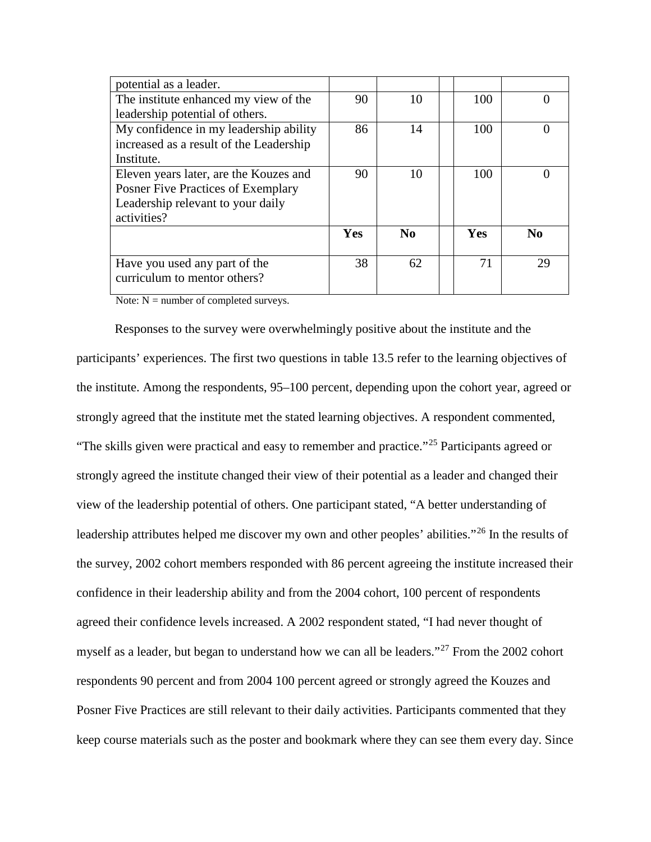| potential as a leader.                    |     |          |     |          |
|-------------------------------------------|-----|----------|-----|----------|
| The institute enhanced my view of the     | 90  | 10       | 100 |          |
| leadership potential of others.           |     |          |     |          |
| My confidence in my leadership ability    | 86  | 14       | 100 |          |
| increased as a result of the Leadership   |     |          |     |          |
| Institute.                                |     |          |     |          |
| Eleven years later, are the Kouzes and    | 90  | 10       | 100 |          |
| <b>Posner Five Practices of Exemplary</b> |     |          |     |          |
| Leadership relevant to your daily         |     |          |     |          |
| activities?                               |     |          |     |          |
|                                           | Yes | $\bf No$ | Yes | $\bf No$ |
|                                           |     |          |     |          |
| Have you used any part of the             | 38  | 62       | 71  | 29       |
| curriculum to mentor others?              |     |          |     |          |
|                                           |     |          |     |          |

Note:  $N =$  number of completed surveys.

Responses to the survey were overwhelmingly positive about the institute and the participants' experiences. The first two questions in table 13.5 refer to the learning objectives of the institute. Among the respondents, 95–100 percent, depending upon the cohort year, agreed or strongly agreed that the institute met the stated learning objectives. A respondent commented, "The skills given were practical and easy to remember and practice."<sup>[25](#page-19-16)</sup> Participants agreed or strongly agreed the institute changed their view of their potential as a leader and changed their view of the leadership potential of others. One participant stated, "A better understanding of leadership attributes helped me discover my own and other peoples' abilities."[26](#page-19-0) In the results of the survey, 2002 cohort members responded with 86 percent agreeing the institute increased their confidence in their leadership ability and from the 2004 cohort, 100 percent of respondents agreed their confidence levels increased. A 2002 respondent stated, "I had never thought of myself as a leader, but began to understand how we can all be leaders."<sup>[27](#page-19-1)</sup> From the 2002 cohort respondents 90 percent and from 2004 100 percent agreed or strongly agreed the Kouzes and Posner Five Practices are still relevant to their daily activities. Participants commented that they keep course materials such as the poster and bookmark where they can see them every day. Since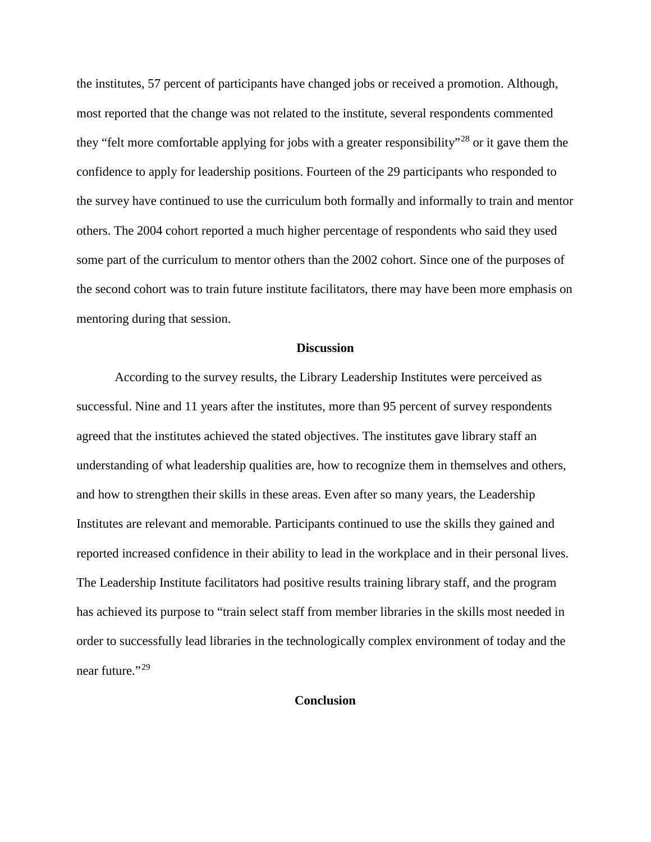the institutes, 57 percent of participants have changed jobs or received a promotion. Although, most reported that the change was not related to the institute, several respondents commented they "felt more comfortable applying for jobs with a greater responsibility"<sup>[28](#page-19-2)</sup> or it gave them the confidence to apply for leadership positions. Fourteen of the 29 participants who responded to the survey have continued to use the curriculum both formally and informally to train and mentor others. The 2004 cohort reported a much higher percentage of respondents who said they used some part of the curriculum to mentor others than the 2002 cohort. Since one of the purposes of the second cohort was to train future institute facilitators, there may have been more emphasis on mentoring during that session.

#### **Discussion**

According to the survey results, the Library Leadership Institutes were perceived as successful. Nine and 11 years after the institutes, more than 95 percent of survey respondents agreed that the institutes achieved the stated objectives. The institutes gave library staff an understanding of what leadership qualities are, how to recognize them in themselves and others, and how to strengthen their skills in these areas. Even after so many years, the Leadership Institutes are relevant and memorable. Participants continued to use the skills they gained and reported increased confidence in their ability to lead in the workplace and in their personal lives. The Leadership Institute facilitators had positive results training library staff, and the program has achieved its purpose to "train select staff from member libraries in the skills most needed in order to successfully lead libraries in the technologically complex environment of today and the near future."<sup>[29](#page-19-3)</sup>

#### **Conclusion**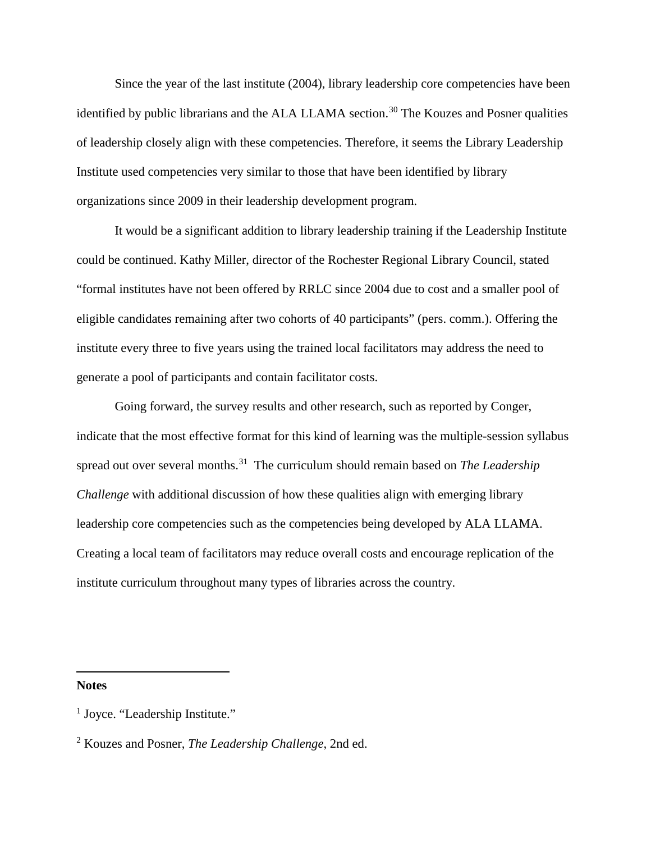Since the year of the last institute (2004), library leadership core competencies have been identified by public librarians and the ALA LLAMA section.<sup>[30](#page-19-17)</sup> The Kouzes and Posner qualities of leadership closely align with these competencies. Therefore, it seems the Library Leadership Institute used competencies very similar to those that have been identified by library organizations since 2009 in their leadership development program.

It would be a significant addition to library leadership training if the Leadership Institute could be continued. Kathy Miller, director of the Rochester Regional Library Council, stated "formal institutes have not been offered by RRLC since 2004 due to cost and a smaller pool of eligible candidates remaining after two cohorts of 40 participants" (pers. comm.). Offering the institute every three to five years using the trained local facilitators may address the need to generate a pool of participants and contain facilitator costs.

Going forward, the survey results and other research, such as reported by Conger, indicate that the most effective format for this kind of learning was the multiple-session syllabus spread out over several months. [31](#page-19-5) The curriculum should remain based on *The Leadership Challenge* with additional discussion of how these qualities align with emerging library leadership core competencies such as the competencies being developed by ALA LLAMA. Creating a local team of facilitators may reduce overall costs and encourage replication of the institute curriculum throughout many types of libraries across the country.

**Notes**

 $\overline{\phantom{a}}$ 

<sup>&</sup>lt;sup>1</sup> Joyce. "Leadership Institute."

<sup>2</sup> Kouzes and Posner, *The Leadership Challenge*, 2nd ed.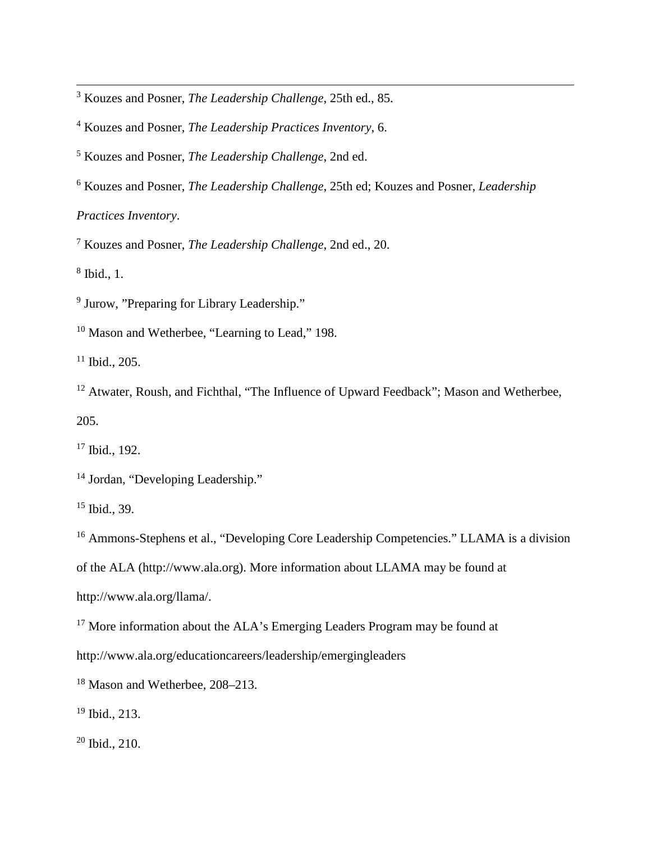<sup>3</sup> Kouzes and Posner, *The Leadership Challenge*, 25th ed., 85.

<sup>4</sup> Kouzes and Posner, *The Leadership Practices Inventory*, 6.

<sup>5</sup> Kouzes and Posner, *The Leadership Challenge*, 2nd ed.

<sup>6</sup> Kouzes and Posner, *The Leadership Challenge*, 25th ed; Kouzes and Posner, *Leadership* 

*Practices Inventory*.

<sup>7</sup> Kouzes and Posner, *The Leadership Challenge*, 2nd ed., 20.

<sup>8</sup> Ibid., 1.

 $\overline{\phantom{a}}$ 

<sup>9</sup> Jurow, "Preparing for Library Leadership."

<sup>10</sup> Mason and Wetherbee, "Learning to Lead," 198.

 $11$  Ibid., 205.

<sup>12</sup> Atwater, Roush, and Fichthal, "The Influence of Upward Feedback"; Mason and Wetherbee, 205.

<sup>17</sup> Ibid., 192.

<sup>14</sup> Jordan, "Developing Leadership."

<sup>15</sup> Ibid., 39.

<sup>16</sup> Ammons-Stephens et al., "Developing Core Leadership Competencies." LLAMA is a division

of the ALA (http://www.ala.org). More information about LLAMA may be found at

http://www.ala.org/llama/.

<sup>17</sup> More information about the ALA's Emerging Leaders Program may be found at

http://www.ala.org/educationcareers/leadership/emergingleaders

<span id="page-16-0"></span><sup>18</sup> Mason and Wetherbee, 208–213.

<sup>19</sup> Ibid., 213.

 $20$  Ibid., 210.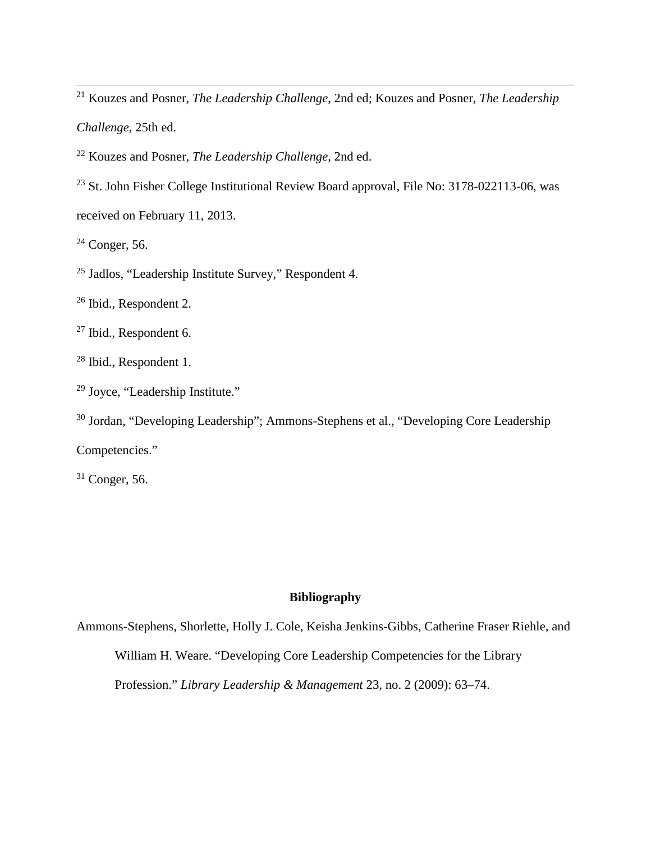<span id="page-17-1"></span><sup>21</sup> Kouzes and Posner, *The Leadership Challenge*, 2nd ed; Kouzes and Posner, *The Leadership* 

*Challenge*, 25th ed.

 $\overline{\phantom{a}}$ 

<sup>22</sup> Kouzes and Posner, *The Leadership Challenge*, 2nd ed.

<sup>23</sup> St. John Fisher College Institutional Review Board approval, File No: 3178-022113-06, was received on February 11, 2013.

 $24$  Conger, 56.

<sup>25</sup> Jadlos, "Leadership Institute Survey," Respondent 4.

<sup>26</sup> Ibid., Respondent 2.

<sup>27</sup> Ibid., Respondent 6.

<sup>28</sup> Ibid., Respondent 1.

<sup>29</sup> Joyce, "Leadership Institute."

<sup>30</sup> Jordan, "Developing Leadership"; Ammons-Stephens et al., "Developing Core Leadership Competencies."

 $31$  Conger, 56.

## **Bibliography**

Ammons-Stephens, Shorlette, Holly J. Cole, Keisha Jenkins-Gibbs, Catherine Fraser Riehle, and

William H. Weare. "Developing Core Leadership Competencies for the Library

<span id="page-17-0"></span>Profession." *Library Leadership & Management* 23, no. 2 (2009): 63–74.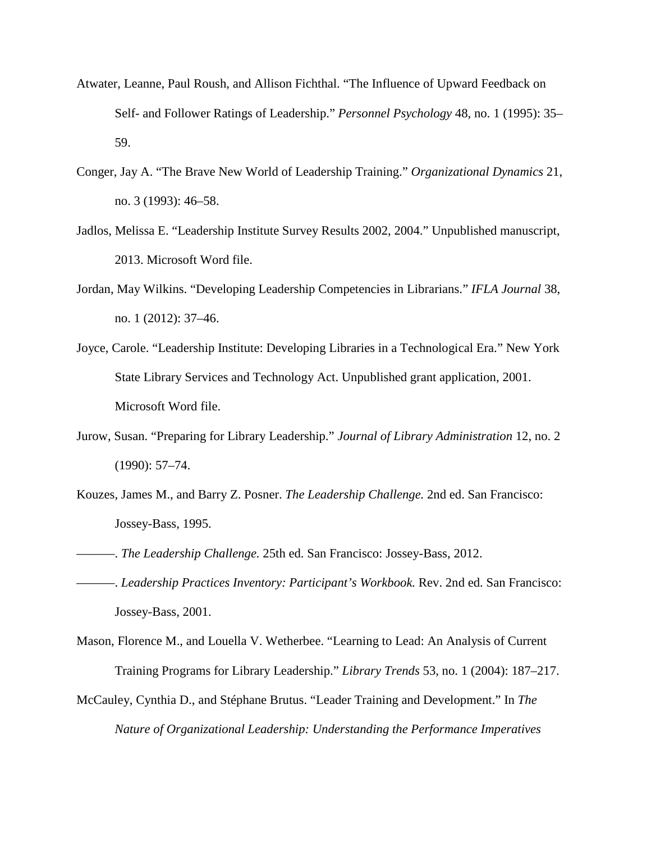- <span id="page-18-0"></span>Atwater, Leanne, Paul Roush, and Allison Fichthal. "The Influence of Upward Feedback on Self- and Follower Ratings of Leadership." *Personnel Psychology* 48, no. 1 (1995): 35– 59.
- <span id="page-18-2"></span><span id="page-18-1"></span>Conger, Jay A. "The Brave New World of Leadership Training." *Organizational Dynamics* 21, no. 3 (1993): 46–58.
- <span id="page-18-3"></span>Jadlos, Melissa E. "Leadership Institute Survey Results 2002, 2004." Unpublished manuscript, 2013. Microsoft Word file.
- <span id="page-18-4"></span>Jordan, May Wilkins. "Developing Leadership Competencies in Librarians." *IFLA Journal* 38, no. 1 (2012): 37–46.
- Joyce, Carole. "Leadership Institute: Developing Libraries in a Technological Era." New York State Library Services and Technology Act. Unpublished grant application, 2001. Microsoft Word file.
- Jurow, Susan. "Preparing for Library Leadership." *Journal of Library Administration* 12, no. 2 (1990): 57–74.
- Kouzes, James M., and Barry Z. Posner. *The Leadership Challenge.* 2nd ed. San Francisco: Jossey-Bass, 1995.
- ———. *The Leadership Challenge.* 25th ed. San Francisco: Jossey-Bass, 2012.
- ———. *Leadership Practices Inventory: Participant's Workbook.* Rev. 2nd ed. San Francisco: Jossey-Bass, 2001.
- Mason, Florence M., and Louella V. Wetherbee. "Learning to Lead: An Analysis of Current Training Programs for Library Leadership." *Library Trends* 53, no. 1 (2004): 187–217.
- McCauley, Cynthia D., and Stéphane Brutus. "Leader Training and Development." In *The Nature of Organizational Leadership: Understanding the Performance Imperatives*